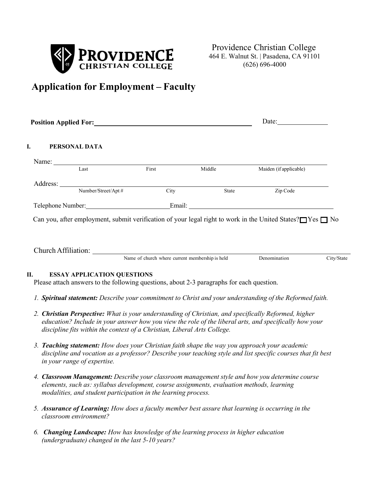

# **Application for Employment – Faculty**

|    | <b>Position Applied For:</b>                                                                                                                                                                                                                                                                                       |       |        | Date:                  |            |
|----|--------------------------------------------------------------------------------------------------------------------------------------------------------------------------------------------------------------------------------------------------------------------------------------------------------------------|-------|--------|------------------------|------------|
| I. | PERSONAL DATA                                                                                                                                                                                                                                                                                                      |       |        |                        |            |
|    | Name: $\sqrt{\frac{1}{2} \sum_{k=1}^{n} x_k^2 + x_k^2}$                                                                                                                                                                                                                                                            |       |        |                        |            |
|    | Last                                                                                                                                                                                                                                                                                                               | First | Middle | Maiden (if applicable) |            |
|    |                                                                                                                                                                                                                                                                                                                    |       |        |                        |            |
|    |                                                                                                                                                                                                                                                                                                                    | City  | State  | Zip Code               |            |
|    |                                                                                                                                                                                                                                                                                                                    |       |        |                        |            |
|    | Can you, after employment, submit verification of your legal right to work in the United States? $\Box$ Yes $\Box$ No                                                                                                                                                                                              |       |        |                        |            |
| П. | Church Affiliation: Name of church where current membership is held<br><b>ESSAY APPLICATION QUESTIONS</b><br>Please attach answers to the following questions, about 2-3 paragraphs for each question.<br>1. Spiritual statement: Describe your commitment to Christ and your understanding of the Reformed faith. |       |        | Denomination           | City/State |
|    | 2. Christian Perspective: What is your understanding of Christian, and specifically Reformed, higher<br>education? Include in your answer how you view the role of the liberal arts, and specifically how your<br>discipline fits within the context of a Christian, Liberal Arts College.                         |       |        |                        |            |
|    | 3. Teaching statement: How does your Christian faith shape the way you approach your academic<br>discipline and vocation as a professor? Describe your teaching style and list specific courses that fit best<br>in your range of expertise.                                                                       |       |        |                        |            |
|    | 4. Classroom Management: Describe your classroom management style and how you determine course<br>elements, such as: syllabus development, course assignments, evaluation methods, learning<br>modalities, and student participation in the learning process.                                                      |       |        |                        |            |

- *5. Assurance of Learning: How does a faculty member best assure that learning is occurring in the classroom environment?*
- *6. Changing Landscape: How has knowledge of the learning process in higher education (undergraduate) changed in the last 5-10 years?*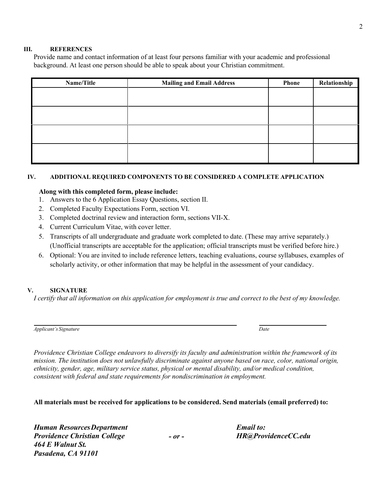#### **III. REFERENCES**

Provide name and contact information of at least four persons familiar with your academic and professional background. At least one person should be able to speak about your Christian commitment.

| Name/Title | <b>Mailing and Email Address</b> | <b>Phone</b> | Relationship |
|------------|----------------------------------|--------------|--------------|
|            |                                  |              |              |
|            |                                  |              |              |
|            |                                  |              |              |
|            |                                  |              |              |
|            |                                  |              |              |
|            |                                  |              |              |
|            |                                  |              |              |
|            |                                  |              |              |

## **IV. ADDITIONAL REQUIRED COMPONENTS TO BE CONSIDERED A COMPLETE APPLICATION**

# **Along with this completed form, please include:**

- 1. Answers to the 6 Application Essay Questions, section II.
- 2. Completed Faculty Expectations Form, section VI.
- 3. Completed doctrinal review and interaction form, sections VII-X.
- 4. Current Curriculum Vitae, with cover letter.
- 5. Transcripts of all undergraduate and graduate work completed to date. (These may arrive separately.) (Unofficial transcripts are acceptable for the application; official transcripts must be verified before hire.)
- 6. Optional: You are invited to include reference letters, teaching evaluations, course syllabuses, examples of scholarly activity, or other information that may be helpful in the assessment of your candidacy.

## **V. SIGNATURE**

I certify that all information on this application for employment is true and correct to the best of my knowledge.

| Applicant's Signature | Date |
|-----------------------|------|
|-----------------------|------|

*Providence Christian College endeavors to diversify its faculty and administration within the framework of its mission. The institution does not unlawfully discriminate against anyone based on race, color, national origin, ethnicity, gender, age, military service status, physical or mental disability, and/or medical condition, consistent with federal and state requirements for nondiscrimination in employment.*

**All materials must be received for applications to be considered. Send materials (email preferred) to:**

*Human ResourcesDepartment Providence Christian College 464 E Walnut St. Pasadena, CA 91101*

*- or -*

*Email to: [HR@ProvidenceCC.edu](mailto:HR@ProvidenceCC.edu)*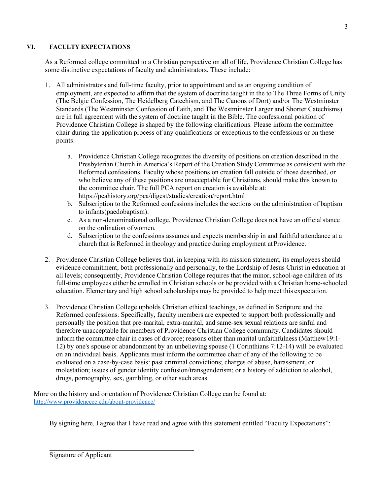# **VI. FACULTY EXPECTATIONS**

As a Reformed college committed to a Christian perspective on all of life, Providence Christian College has some distinctive expectations of faculty and administrators. These include:

- 1. All administrators and full-time faculty, prior to appointment and as an ongoing condition of employment, are expected to affirm that the system of doctrine taught in the to The Three Forms of Unity (The Belgic Confession, The Heidelberg Catechism, and The Canons of Dort) and/or The Westminster Standards (The Westminster Confession of Faith, and The Westminster Larger and Shorter Catechisms) are in full agreement with the system of doctrine taught in the Bible. The confessional position of Providence Christian College is shaped by the following clarifications. Please inform the committee chair during the application process of any qualifications or exceptions to the confessions or on these points:
	- a. Providence Christian College recognizes the diversity of positions on creation described in the Presbyterian Church in America's Report of the Creation Study Committee as consistent with the Reformed confessions. Faculty whose positions on creation fall outside of those described, or who believe any of these positions are unacceptable for Christians, should make this known to the committee chair. The full PCA report on creation is available at: https://pcahistory.org/pca/digest/studies/creation/report.html
	- b. Subscription to the Reformed confessions includes the sections on the administration of baptism to infants(paedobaptism).
	- c. As a non-denominational college, Providence Christian College does not have an officialstance on the ordination ofwomen.
	- d. Subscription to the confessions assumes and expects membership in and faithful attendance at a church that is Reformed in theology and practice during employment at Providence.
- 2. Providence Christian College believes that, in keeping with its mission statement, its employees should evidence commitment, both professionally and personally, to the Lordship of Jesus Christ in education at all levels; consequently, Providence Christian College requires that the minor, school-age children of its full-time employees either be enrolled in Christian schools or be provided with a Christian home-schooled education. Elementary and high school scholarships may be provided to help meet this expectation.
- 3. Providence Christian College upholds Christian ethical teachings, as defined in Scripture and the Reformed confessions. Specifically, faculty members are expected to support both professionally and personally the position that pre-marital, extra-marital, and same-sex sexual relations are sinful and therefore unacceptable for members of Providence Christian College community. Candidates should inform the committee chair in cases of divorce; reasons other than marital unfaithfulness (Matthew19:1- 12) by one's spouse or abandonment by an unbelieving spouse (1 Corinthians 7:12-14) will be evaluated on an individual basis. Applicants must inform the committee chair of any of the following to be evaluated on a case-by-case basis: past criminal convictions; charges of abuse, harassment, or molestation; issues of gender identity confusion/transgenderism; or a history of addiction to alcohol, drugs, pornography, sex, gambling, or other such areas.

More on the history and orientation of Providence Christian College can be found at: <http://www.providencecc.edu/about-providence/>

By signing here, I agree that I have read and agree with this statement entitled "Faculty Expectations":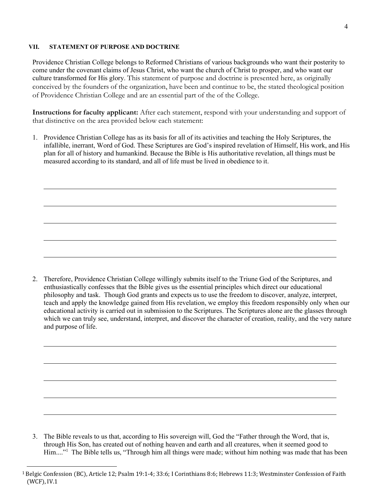## **VII. STATEMENT OF PURPOSE AND DOCTRINE**

Providence Christian College belongs to Reformed Christians of various backgrounds who want their posterity to come under the covenant claims of Jesus Christ, who want the church of Christ to prosper, and who want our culture transformed for His glory. This statement of purpose and doctrine is presented here, as originally conceived by the founders of the organization, have been and continue to be, the stated theological position of Providence Christian College and are an essential part of the of the College.

**Instructions for faculty applicant:** After each statement, respond with your understanding and support of that distinctive on the area provided below each statement:

1. Providence Christian College has as its basis for all of its activities and teaching the Holy Scriptures, the infallible, inerrant, Word of God. These Scriptures are God's inspired revelation of Himself, His work, and His plan for all of history and humankind. Because the Bible is His authoritative revelation, all things must be measured according to its standard, and all of life must be lived in obedience to it.

2. Therefore, Providence Christian College willingly submits itself to the Triune God of the Scriptures, and enthusiastically confesses that the Bible gives us the essential principles which direct our educational philosophy and task. Though God grants and expects us to use the freedom to discover, analyze, interpret, teach and apply the knowledge gained from His revelation, we employ this freedom responsibly only when our educational activity is carried out in submission to the Scriptures. The Scriptures alone are the glasses through which we can truly see, understand, interpret, and discover the character of creation, reality, and the very nature and purpose of life.

3. The Bible reveals to us that, according to His sovereign will, God the "Father through the Word, that is, through His Son, has created out of nothing heaven and earth and all creatures, when it seemed good to Him...."<sup>1</sup> The Bible tells us, "Through him all things were made; without him nothing was made that has been

<span id="page-3-0"></span><sup>1</sup> Belgic Confession (BC), Article 12; Psalm 19:1-4; 33:6; I Corinthians 8:6; Hebrews 11:3; Westminster Confession of Faith (WCF), IV.1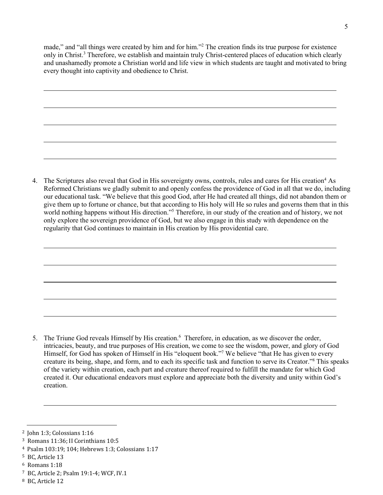made," and "all things were created by him and for him.["2](#page-4-0) The creation finds its true purpose for existence only in Christ.<sup>3</sup> Therefore, we establish and maintain truly Christ-centered places of education which clearly and unashamedly promote a Christian world and life view in which students are taught and motivated to bring every thought into captivity and obedience to Christ.

4. The Scriptures also reveal that God in His sovereignty owns, controls, rules and cares for His creation<sup>4</sup> As Reformed Christians we gladly submit to and openly confess the providence of God in all that we do, including our educational task. "We believe that this good God, after He had created all things, did not abandon them or give them up to fortune or chance, but that according to His holy will He so rules and governs them that in this world nothing happens without His direction.["5](#page-4-3) Therefore, in our study of the creation and of history, we not only explore the sovereign providence of God, but we also engage in this study with dependence on the regularity that God continues to maintain in His creation by His providential care.

5. The Triune God reveals Himself by His creation.<sup>6</sup> Therefore, in education, as we discover the order, intricacies, beauty, and true purposes of His creation, we come to see the wisdom, power, and glory of God Himself, for God has spoken of Himself in His "eloquent book.["7](#page-4-5) We believe "that He has given to every creature its being, shape, and form, and to each its specific task and function to serve its Creator.["8](#page-4-6) This speaks of the variety within creation, each part and creature thereof required to fulfill the mandate for which God created it. Our educational endeavors must explore and appreciate both the diversity and unity within God's creation.

<span id="page-4-0"></span><sup>2</sup> John 1:3; Colossians 1:16

<span id="page-4-1"></span><sup>3</sup> Romans 11:36; II Corinthians 10:5

<span id="page-4-2"></span><sup>4</sup> Psalm 103:19; 104; Hebrews 1:3; Colossians 1:17

<span id="page-4-3"></span><sup>5</sup> BC, Article 13

<span id="page-4-4"></span><sup>6</sup> Romans 1:18

<span id="page-4-5"></span><sup>7</sup> BC, Article 2; Psalm 19:1-4; WCF, IV.1

<span id="page-4-6"></span><sup>8</sup> BC, Article 12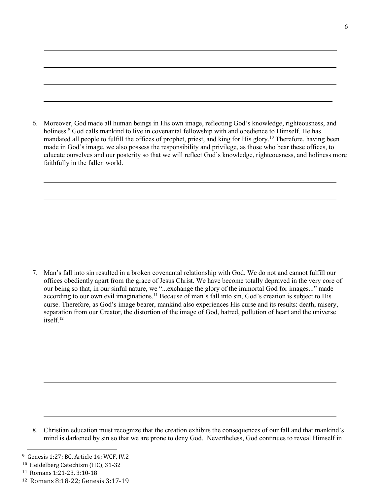6. Moreover, God made all human beings in His own image, reflecting God's knowledge, righteousness, and holiness.<sup>9</sup> God calls mankind to live in covenantal fellowship with and obedience to Himself. He has mandated all people to fulfill the offices of prophet, priest, and king for His glor[y.10](#page-5-1) Therefore, having been made in God's image, we also possess the responsibility and privilege, as those who bear these offices, to educate ourselves and our posterity so that we will reflect God's knowledge, righteousness, and holiness more faithfully in the fallen world.

7. Man's fall into sin resulted in a broken covenantal relationship with God. We do not and cannot fulfill our offices obediently apart from the grace of Jesus Christ. We have become totally depraved in the very core of our being so that, in our sinful nature, we "...exchange the glory of the immortal God for images..." made according to our own evil imaginations.<sup>11</sup> Because of man's fall into sin, God's creation is subject to His curse. Therefore, as God's image bearer, mankind also experiences His curse and its results: death, misery, separation from our Creator, the distortion of the image of God, hatred, pollution of heart and the universe itself.<sup>12</sup>

8. Christian education must recognize that the creation exhibits the consequences of our fall and that mankind's mind is darkened by sin so that we are prone to deny God. Nevertheless, God continues to reveal Himself in

<span id="page-5-0"></span><sup>9</sup> Genesis 1:27; BC, Article 14; WCF, IV.2

<span id="page-5-1"></span><sup>10</sup> Heidelberg Catechism (HC), 31-32

<span id="page-5-2"></span><sup>11</sup> Romans 1:21-23, 3:10-18

<span id="page-5-3"></span><sup>12</sup> Romans 8:18-22; Genesis 3:17-19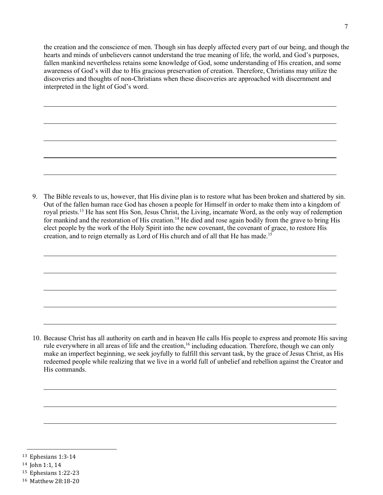the creation and the conscience of men. Though sin has deeply affected every part of our being, and though the hearts and minds of unbelievers cannot understand the true meaning of life, the world, and God's purposes, fallen mankind nevertheless retains some knowledge of God, some understanding of His creation, and some awareness of God's will due to His gracious preservation of creation. Therefore, Christians may utilize the discoveries and thoughts of non-Christians when these discoveries are approached with discernment and interpreted in the light of God's word.

9. The Bible reveals to us, however, that His divine plan is to restore what has been broken and shattered by sin. Out of the fallen human race God has chosen a people for Himself in order to make them into a kingdom of royal priests[.13](#page-6-0) He has sent His Son, Jesus Christ, the Living, incarnate Word, as the only way of redemption for mankind and the restoration of His creation.<sup>14</sup> He died and rose again bodily from the grave to bring His elect people by the work of the Holy Spirit into the new covenant, the covenant of grace, to restore His creation, and to reign eternally as Lord of His church and of all that He has made.<sup>15</sup>

10. Because Christ has all authority on earth and in heaven He calls His people to express and promote His saving rule everywhere in all areas of life and the creation,<sup>16</sup> including education. Therefore, though we can only make an imperfect beginning, we seek joyfully to fulfill this servant task, by the grace of Jesus Christ, as His redeemed people while realizing that we live in a world full of unbelief and rebellion against the Creator and His commands.

- <span id="page-6-0"></span><sup>13</sup> Ephesians 1:3-14
- <span id="page-6-1"></span><sup>14</sup> John 1:1, 14
- <span id="page-6-2"></span><sup>15</sup> Ephesians 1:22-23

<span id="page-6-3"></span><sup>16</sup> Matthew 28:18-20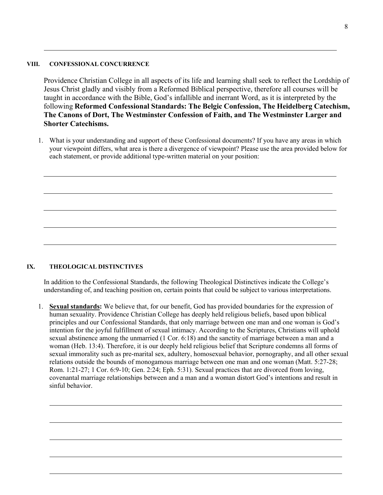#### **VIII. CONFESSIONAL CONCURRENCE**

Providence Christian College in all aspects of its life and learning shall seek to reflect the Lordship of Jesus Christ gladly and visibly from a Reformed Biblical perspective, therefore all courses will be taught in accordance with the Bible, God's infallible and inerrant Word, as it is interpreted by the following **Reformed Confessional Standards: The Belgic Confession, The Heidelberg Catechism, The Canons of Dort, The Westminster Confession of Faith, and The Westminster Larger and Shorter Catechisms.**

1. What is your understanding and support of these Confessional documents? If you have any areas in which your viewpoint differs, what area is there a divergence of viewpoint? Please use the area provided below for each statement, or provide additional type-written material on your position:

## **IX. THEOLOGICAL DISTINCTIVES**

In addition to the Confessional Standards, the following Theological Distinctives indicate the College's understanding of, and teaching position on, certain points that could be subject to various interpretations.

1. **Sexual standards:** We believe that, for our benefit, God has provided boundaries for the expression of human sexuality. Providence Christian College has deeply held religious beliefs, based upon biblical principles and our Confessional Standards, that only marriage between one man and one woman is God's intention for the joyful fulfillment of sexual intimacy. According to the Scriptures, Christians will uphold sexual abstinence among the unmarried (1 Cor. 6:18) and the sanctity of marriage between a man and a woman (Heb. 13:4). Therefore, it is our deeply held religious belief that Scripture condemns all forms of sexual immorality such as pre-marital sex, adultery, homosexual behavior, pornography, and all other sexual relations outside the bounds of monogamous marriage between one man and one woman (Matt. 5:27-28; Rom. 1:21-27; 1 Cor. 6:9-10; Gen. 2:24; Eph. 5:31). Sexual practices that are divorced from loving, covenantal marriage relationships between and a man and a woman distort God's intentions and result in sinful behavior.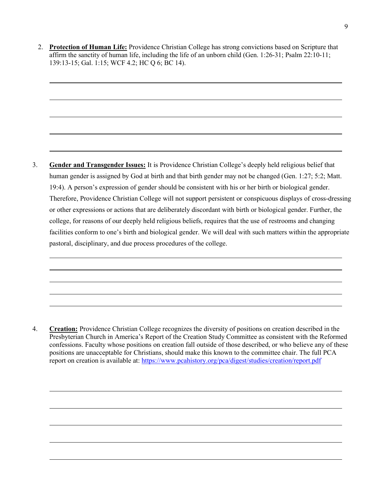2. **Protection of Human Life:** Providence Christian College has strong convictions based on Scripture that affirm the sanctity of human life, including the life of an unborn child (Gen. 1:26-31; Psalm 22:10-11; 139:13-15; Gal. 1:15; WCF 4.2; HC Q 6; BC 14).

3. **Gender and Transgender Issues:** It is Providence Christian College's deeply held religious belief that human gender is assigned by God at birth and that birth gender may not be changed (Gen. 1:27; 5:2; Matt. 19:4). A person's expression of gender should be consistent with his or her birth or biological gender. Therefore, Providence Christian College will not support persistent or conspicuous displays of cross-dressing or other expressions or actions that are deliberately discordant with birth or biological gender. Further, the college, for reasons of our deeply held religious beliefs, requires that the use of restrooms and changing facilities conform to one's birth and biological gender. We will deal with such matters within the appropriate pastoral, disciplinary, and due process procedures of the college.

4. **Creation:** Providence Christian College recognizes the diversity of positions on creation described in the Presbyterian Church in America's Report of the Creation Study Committee as consistent with the Reformed confessions. Faculty whose positions on creation fall outside of those described, or who believe any of these positions are unacceptable for Christians, should make this known to the committee chair. The full PCA report on creation is available at: [https://www.pcahistory.org/pca/digest/studies/creation/report.pdf](http://www.pcahistory.org/pca/digest/studies/creation/report.pdf)